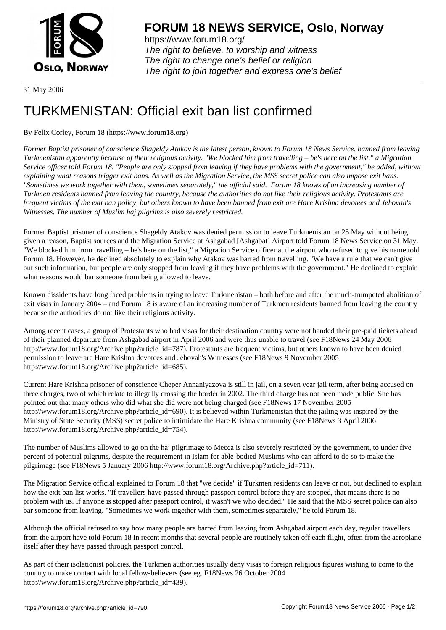

https://www.forum18.org/ The right to believe, to worship and witness The right to change one's belief or religion [The right to join together a](https://www.forum18.org/)nd express one's belief

31 May 2006

## [TURKMENISTA](https://www.forum18.org)N: Official exit ban list confirmed

## By Felix Corley, Forum 18 (https://www.forum18.org)

*Former Baptist prisoner of conscience Shageldy Atakov is the latest person, known to Forum 18 News Service, banned from leaving Turkmenistan apparently because of their religious activity. "We blocked him from travelling – he's here on the list," a Migration Service officer told Forum 18. "People are only stopped from leaving if they have problems with the government," he added, without explaining what reasons trigger exit bans. As well as the Migration Service, the MSS secret police can also impose exit bans. "Sometimes we work together with them, sometimes separately," the official said. Forum 18 knows of an increasing number of Turkmen residents banned from leaving the country, because the authorities do not like their religious activity. Protestants are frequent victims of the exit ban policy, but others known to have been banned from exit are Hare Krishna devotees and Jehovah's Witnesses. The number of Muslim haj pilgrims is also severely restricted.*

Former Baptist prisoner of conscience Shageldy Atakov was denied permission to leave Turkmenistan on 25 May without being given a reason, Baptist sources and the Migration Service at Ashgabad [Ashgabat] Airport told Forum 18 News Service on 31 May. "We blocked him from travelling – he's here on the list," a Migration Service officer at the airport who refused to give his name told Forum 18. However, he declined absolutely to explain why Atakov was barred from travelling. "We have a rule that we can't give out such information, but people are only stopped from leaving if they have problems with the government." He declined to explain what reasons would bar someone from being allowed to leave.

Known dissidents have long faced problems in trying to leave Turkmenistan – both before and after the much-trumpeted abolition of exit visas in January 2004 – and Forum 18 is aware of an increasing number of Turkmen residents banned from leaving the country because the authorities do not like their religious activity.

Among recent cases, a group of Protestants who had visas for their destination country were not handed their pre-paid tickets ahead of their planned departure from Ashgabad airport in April 2006 and were thus unable to travel (see F18News 24 May 2006 http://www.forum18.org/Archive.php?article\_id=787). Protestants are frequent victims, but others known to have been denied permission to leave are Hare Krishna devotees and Jehovah's Witnesses (see F18News 9 November 2005 http://www.forum18.org/Archive.php?article\_id=685).

Current Hare Krishna prisoner of conscience Cheper Annaniyazova is still in jail, on a seven year jail term, after being accused on three charges, two of which relate to illegally crossing the border in 2002. The third charge has not been made public. She has pointed out that many others who did what she did were not being charged (see F18News 17 November 2005 http://www.forum18.org/Archive.php?article\_id=690). It is believed within Turkmenistan that the jailing was inspired by the Ministry of State Security (MSS) secret police to intimidate the Hare Krishna community (see F18News 3 April 2006 http://www.forum18.org/Archive.php?article\_id=754).

The number of Muslims allowed to go on the haj pilgrimage to Mecca is also severely restricted by the government, to under five percent of potential pilgrims, despite the requirement in Islam for able-bodied Muslims who can afford to do so to make the pilgrimage (see F18News 5 January 2006 http://www.forum18.org/Archive.php?article\_id=711).

The Migration Service official explained to Forum 18 that "we decide" if Turkmen residents can leave or not, but declined to explain how the exit ban list works. "If travellers have passed through passport control before they are stopped, that means there is no problem with us. If anyone is stopped after passport control, it wasn't we who decided." He said that the MSS secret police can also bar someone from leaving. "Sometimes we work together with them, sometimes separately," he told Forum 18.

Although the official refused to say how many people are barred from leaving from Ashgabad airport each day, regular travellers from the airport have told Forum 18 in recent months that several people are routinely taken off each flight, often from the aeroplane itself after they have passed through passport control.

As part of their isolationist policies, the Turkmen authorities usually deny visas to foreign religious figures wishing to come to the country to make contact with local fellow-believers (see eg. F18News 26 October 2004 http://www.forum18.org/Archive.php?article\_id=439).